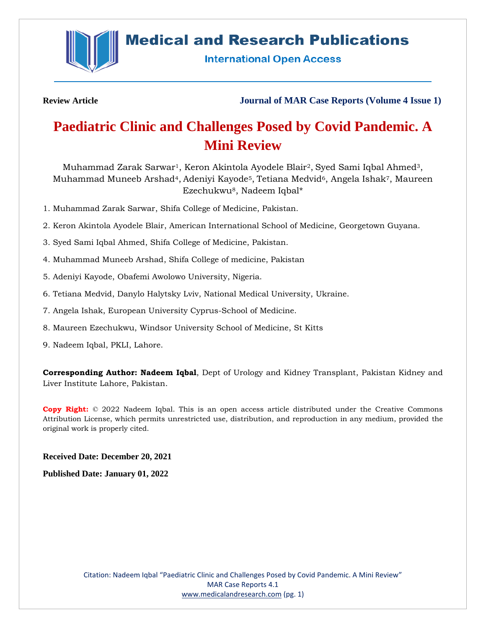

## **Medical and Research Publications**

**International Open Access** 

**Review Article Journal of MAR Case Reports (Volume 4 Issue 1)**

# **Paediatric Clinic and Challenges Posed by Covid Pandemic. A Mini Review**

Muhammad Zarak Sarwar1, Keron Akintola Ayodele Blair2, Syed Sami Iqbal Ahmed3, Muhammad Muneeb Arshad<sup>4</sup>, Adeniyi Kayode<sup>5</sup>, Tetiana Medvid<sup>6</sup>, Angela Ishak<sup>7</sup>, Maureen Ezechukwu8, Nadeem Iqbal\*

1. Muhammad Zarak Sarwar, Shifa College of Medicine, Pakistan.

2. Keron Akintola Ayodele Blair, American International School of Medicine, Georgetown Guyana.

- 3. Syed Sami Iqbal Ahmed, Shifa College of Medicine, Pakistan.
- 4. Muhammad Muneeb Arshad, Shifa College of medicine, Pakistan
- 5. Adeniyi Kayode, Obafemi Awolowo University, Nigeria.
- 6. Tetiana Medvid, Danylo Halytsky Lviv, National Medical University, Ukraine.
- 7. Angela Ishak, European University Cyprus-School of Medicine.
- 8. Maureen Ezechukwu, Windsor University School of Medicine, St Kitts
- 9. Nadeem Iqbal, PKLI, Lahore.

**Corresponding Author: Nadeem Iqbal**, Dept of Urology and Kidney Transplant, Pakistan Kidney and Liver Institute Lahore, Pakistan.

**Copy Right:** © 2022 Nadeem Iqbal. This is an open access article distributed under the Creative Commons Attribution License, which permits unrestricted use, distribution, and reproduction in any medium, provided the original work is properly cited.

## **Received Date: December 20, 2021**

**Published Date: January 01, 2022**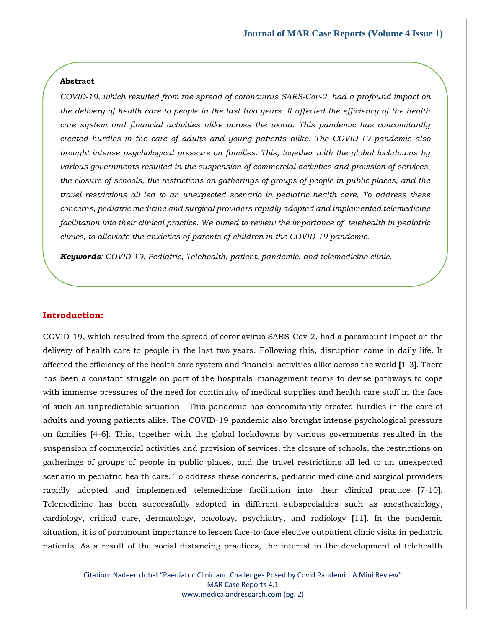#### **Abstract**

*COVID-19, which resulted from the spread of coronavirus SARS-Cov-2, had a profound impact on the delivery of health care to people in the last two years. It affected the efficiency of the health care system and financial activities alike across the world. This pandemic has concomitantly created hurdles in the care of adults and young patients alike. The COVID-19 pandemic also brought intense psychological pressure on families. This, together with the global lockdowns by various governments resulted in the suspension of commercial activities and provision of services, the closure of schools, the restrictions on gatherings of groups of people in public places, and the travel restrictions all led to an unexpected scenario in pediatric health care. To address these concerns, pediatric medicine and surgical providers rapidly adopted and implemented telemedicine facilitation into their clinical practice. We aimed to review the importance of telehealth in pediatric clinics, to alleviate the anxieties of parents of children in the COVID-19 pandemic.* 

*Keywords: COVID-19, Pediatric, Telehealth, patient, pandemic, and telemedicine clinic.*

### **Introduction:**

COVID-19, which resulted from the spread of coronavirus SARS-Cov-2, had a paramount impact on the delivery of health care to people in the last two years. Following this, disruption came in daily life. It affected the efficiency of the health care system and financial activities alike across the world **[**1-3**]**. There has been a constant struggle on part of the hospitals' management teams to devise pathways to cope with immense pressures of the need for continuity of medical supplies and health care staff in the face of such an unpredictable situation. This pandemic has concomitantly created hurdles in the care of adults and young patients alike. The COVID-19 pandemic also brought intense psychological pressure on families **[**4-6**]**. This, together with the global lockdowns by various governments resulted in the suspension of commercial activities and provision of services, the closure of schools, the restrictions on gatherings of groups of people in public places, and the travel restrictions all led to an unexpected scenario in pediatric health care. To address these concerns, pediatric medicine and surgical providers rapidly adopted and implemented telemedicine facilitation into their clinical practice **[**7-10**]**. Telemedicine has been successfully adopted in different subspecialties such as anesthesiology, cardiology, critical care, dermatology, oncology, psychiatry, and radiology **[**11**]**. In the pandemic situation, it is of paramount importance to lessen face-to-face elective outpatient clinic visits in pediatric patients. As a result of the social distancing practices, the interest in the development of telehealth

> Citation: Nadeem Iqbal "Paediatric Clinic and Challenges Posed by Covid Pandemic. A Mini Review" MAR Case Reports 4.1 [www.medicalandresearch.com](http://www.medicalandresearch.com/) (pg. 2)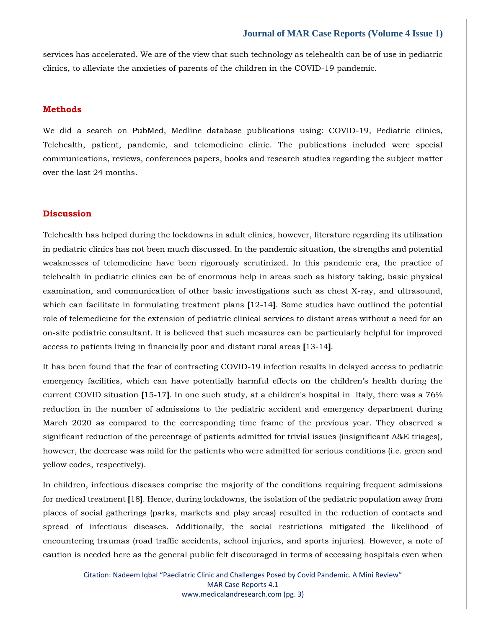services has accelerated. We are of the view that such technology as telehealth can be of use in pediatric clinics, to alleviate the anxieties of parents of the children in the COVID-19 pandemic.

## **Methods**

We did a search on PubMed, Medline database publications using: COVID-19, Pediatric clinics, Telehealth, patient, pandemic, and telemedicine clinic. The publications included were special communications, reviews, conferences papers, books and research studies regarding the subject matter over the last 24 months.

## **Discussion**

Telehealth has helped during the lockdowns in adult clinics, however, literature regarding its utilization in pediatric clinics has not been much discussed. In the pandemic situation, the strengths and potential weaknesses of telemedicine have been rigorously scrutinized. In this pandemic era, the practice of telehealth in pediatric clinics can be of enormous help in areas such as history taking, basic physical examination, and communication of other basic investigations such as chest X-ray, and ultrasound, which can facilitate in formulating treatment plans **[**12-14**]**. Some studies have outlined the potential role of telemedicine for the extension of pediatric clinical services to distant areas without a need for an on-site pediatric consultant. It is believed that such measures can be particularly helpful for improved access to patients living in financially poor and distant rural areas **[**13-14**]**.

It has been found that the fear of contracting COVID-19 infection results in delayed access to pediatric emergency facilities, which can have potentially harmful effects on the children's health during the current COVID situation **[**15-17**]**. In one such study, at a children's hospital in Italy, there was a 76% reduction in the number of admissions to the pediatric accident and emergency department during March 2020 as compared to the corresponding time frame of the previous year. They observed a significant reduction of the percentage of patients admitted for trivial issues (insignificant A&E triages), however, the decrease was mild for the patients who were admitted for serious conditions (i.e. green and yellow codes, respectively).

In children, infectious diseases comprise the majority of the conditions requiring frequent admissions for medical treatment **[**18**]**. Hence, during lockdowns, the isolation of the pediatric population away from places of social gatherings (parks, markets and play areas) resulted in the reduction of contacts and spread of infectious diseases. Additionally, the social restrictions mitigated the likelihood of encountering traumas (road traffic accidents, school injuries, and sports injuries). However, a note of caution is needed here as the general public felt discouraged in terms of accessing hospitals even when

> Citation: Nadeem Iqbal "Paediatric Clinic and Challenges Posed by Covid Pandemic. A Mini Review" MAR Case Reports 4.1 [www.medicalandresearch.com](http://www.medicalandresearch.com/) (pg. 3)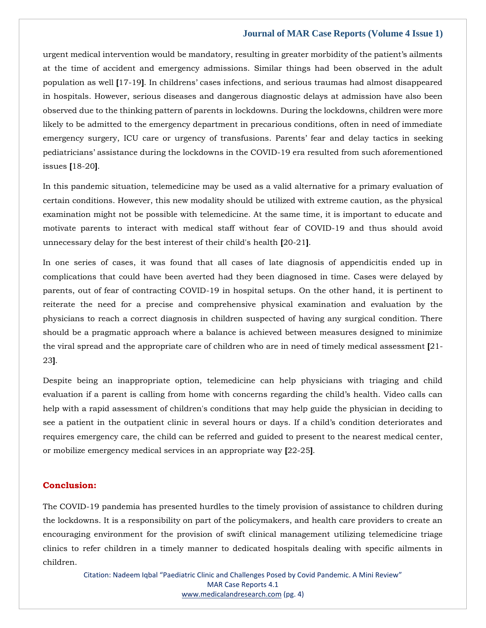urgent medical intervention would be mandatory, resulting in greater morbidity of the patient's ailments at the time of accident and emergency admissions. Similar things had been observed in the adult population as well **[**17-19**]**. In childrens' cases infections, and serious traumas had almost disappeared in hospitals. However, serious diseases and dangerous diagnostic delays at admission have also been observed due to the thinking pattern of parents in lockdowns. During the lockdowns, children were more likely to be admitted to the emergency department in precarious conditions, often in need of immediate emergency surgery, ICU care or urgency of transfusions. Parents' fear and delay tactics in seeking pediatricians' assistance during the lockdowns in the COVID-19 era resulted from such aforementioned issues **[**18-20**]**.

In this pandemic situation, telemedicine may be used as a valid alternative for a primary evaluation of certain conditions. However, this new modality should be utilized with extreme caution, as the physical examination might not be possible with telemedicine. At the same time, it is important to educate and motivate parents to interact with medical staff without fear of COVID-19 and thus should avoid unnecessary delay for the best interest of their child's health **[**20-21**]**.

In one series of cases, it was found that all cases of late diagnosis of appendicitis ended up in complications that could have been averted had they been diagnosed in time. Cases were delayed by parents, out of fear of contracting COVID-19 in hospital setups. On the other hand, it is pertinent to reiterate the need for a precise and comprehensive physical examination and evaluation by the physicians to reach a correct diagnosis in children suspected of having any surgical condition. There should be a pragmatic approach where a balance is achieved between measures designed to minimize the viral spread and the appropriate care of children who are in need of timely medical assessment **[**21- 23**]**.

Despite being an inappropriate option, telemedicine can help physicians with triaging and child evaluation if a parent is calling from home with concerns regarding the child's health. Video calls can help with a rapid assessment of children's conditions that may help guide the physician in deciding to see a patient in the outpatient clinic in several hours or days. If a child's condition deteriorates and requires emergency care, the child can be referred and guided to present to the nearest medical center, or mobilize emergency medical services in an appropriate way **[**22-25**]**.

## **Conclusion:**

The COVID-19 pandemia has presented hurdles to the timely provision of assistance to children during the lockdowns. It is a responsibility on part of the policymakers, and health care providers to create an encouraging environment for the provision of swift clinical management utilizing telemedicine triage clinics to refer children in a timely manner to dedicated hospitals dealing with specific ailments in children.

Citation: Nadeem Iqbal "Paediatric Clinic and Challenges Posed by Covid Pandemic. A Mini Review" MAR Case Reports 4.1 [www.medicalandresearch.com](http://www.medicalandresearch.com/) (pg. 4)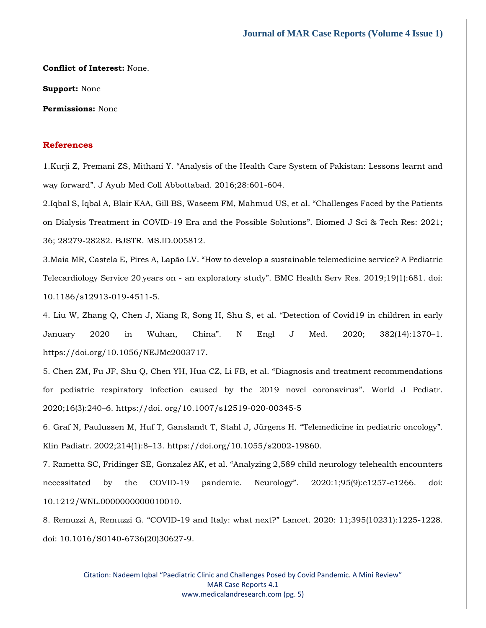**Conflict of Interest:** None.

**Support:** None

**Permissions:** None

## **References**

1.Kurji Z, Premani ZS, Mithani Y. "[Analysis of the Health Care System of Pakistan: Lessons learnt and](https://www.google.com/search?q=Analysis+of+the+Health+Care+System+of+Pakistan%3A+Lessons+learnt+and+way+forward&oq=Analysis+of+the+Health+Care+System+of+Pakistan%3A+Lessons+learnt+and+way+forward&aqs=chrome..69i57.1233j0j7&sourceid=chrome&ie=UTF-8)  way forward"[. J Ayub Med Coll Abbottabad. 2016;28:601-604.](https://www.google.com/search?q=Analysis+of+the+Health+Care+System+of+Pakistan%3A+Lessons+learnt+and+way+forward&oq=Analysis+of+the+Health+Care+System+of+Pakistan%3A+Lessons+learnt+and+way+forward&aqs=chrome..69i57.1233j0j7&sourceid=chrome&ie=UTF-8)

2[.Iqbal S, Iqbal A, Blair KAA, Gill BS, Waseem FM, Mahmud US, et al.](https://www.google.com/search?q=Challenges+Faced+by+the+Patients+on+Dialysis+Treatment+in+COVID-19+Era+and+the+Possible+Solutions&sxsrf=AOaemvIMXphsKBzFqs7K3a02W-Ak-ry-RQ%3A1640163392603&ei=QOjCYZqaJI-5mAWO3piACA&ved=0ahUKEwiauo7jhPf0AhWPHKYKHQ4vBoAQ4dUDCA4&uact=5&oq=Challenges+Faced+by+the+Patients+on+Dialysis+Treatment+in+COVID-19+Era+and+the+Possible+Solutions&gs_lcp=Cgdnd3Mtd2l6EAM6BwgjEOoCECdKBAhBGABKBAhGGABQlgZYlgZgjQloAXACeACAAc0BiAHNAZIBAzItMZgBAKABAaABArABCsABAQ&sclient=gws-wiz) "Challenges Faced by the Patients [on Dialysis Treatment in COVID-19 Era and the Possible Solutions](https://www.google.com/search?q=Challenges+Faced+by+the+Patients+on+Dialysis+Treatment+in+COVID-19+Era+and+the+Possible+Solutions&sxsrf=AOaemvIMXphsKBzFqs7K3a02W-Ak-ry-RQ%3A1640163392603&ei=QOjCYZqaJI-5mAWO3piACA&ved=0ahUKEwiauo7jhPf0AhWPHKYKHQ4vBoAQ4dUDCA4&uact=5&oq=Challenges+Faced+by+the+Patients+on+Dialysis+Treatment+in+COVID-19+Era+and+the+Possible+Solutions&gs_lcp=Cgdnd3Mtd2l6EAM6BwgjEOoCECdKBAhBGABKBAhGGABQlgZYlgZgjQloAXACeACAAc0BiAHNAZIBAzItMZgBAKABAaABArABCsABAQ&sclient=gws-wiz)". Biomed J Sci & Tech Res: 2021; [36; 28279-28282. BJSTR. MS.ID.005812.](https://www.google.com/search?q=Challenges+Faced+by+the+Patients+on+Dialysis+Treatment+in+COVID-19+Era+and+the+Possible+Solutions&sxsrf=AOaemvIMXphsKBzFqs7K3a02W-Ak-ry-RQ%3A1640163392603&ei=QOjCYZqaJI-5mAWO3piACA&ved=0ahUKEwiauo7jhPf0AhWPHKYKHQ4vBoAQ4dUDCA4&uact=5&oq=Challenges+Faced+by+the+Patients+on+Dialysis+Treatment+in+COVID-19+Era+and+the+Possible+Solutions&gs_lcp=Cgdnd3Mtd2l6EAM6BwgjEOoCECdKBAhBGABKBAhGGABQlgZYlgZgjQloAXACeACAAc0BiAHNAZIBAzItMZgBAKABAaABArABCsABAQ&sclient=gws-wiz)

3.Maia MR, Castela E, Pires A, Lapão LV. "[How to develop a sustainable telemedicine service? A Pediatric](https://www.google.com/search?q=How+to+develop+a+sustainable+telemedicine+service%3F+A+Pediatric+Telecardiology+Service+20%E2%80%89years+on+-+an+exploratory+study&sxsrf=AOaemvLa137DKbriPm-c5Ylone6F4kAGeA%3A1640163417526&ei=WejCYemzH8-Yr7wPwL-S-As&ved=0ahUKEwipxP_uhPf0AhVPzIsBHcCfBL8Q4dUDCA4&uact=5&oq=How+to+develop+a+sustainable+telemedicine+service%3F+A+Pediatric+Telecardiology+Service+20%E2%80%89years+on+-+an+exploratory+study&gs_lcp=Cgdnd3Mtd2l6EAMyBwgjEOoCECcyBwgjEOoCECcyBwgjEOoCECcyBwgjEOoCECcyBwgjEOoCECcyBwgjEOoCECcyBwgjEOoCECcyBwgjEOoCECcyBwgjEOoCECcyBwgjEOoCECdKBAhBGABKBAhGGABQ6QVY6QVgsghoAXAAeACAAQCIAQCSAQCYAQCgAQGgAQKwAQrAAQE&sclient=gws-wiz)  Telecardiology Service 20 years on - an exploratory study"[. BMC Health Serv Res. 2019;19\(1\):681. doi:](https://www.google.com/search?q=How+to+develop+a+sustainable+telemedicine+service%3F+A+Pediatric+Telecardiology+Service+20%E2%80%89years+on+-+an+exploratory+study&sxsrf=AOaemvLa137DKbriPm-c5Ylone6F4kAGeA%3A1640163417526&ei=WejCYemzH8-Yr7wPwL-S-As&ved=0ahUKEwipxP_uhPf0AhVPzIsBHcCfBL8Q4dUDCA4&uact=5&oq=How+to+develop+a+sustainable+telemedicine+service%3F+A+Pediatric+Telecardiology+Service+20%E2%80%89years+on+-+an+exploratory+study&gs_lcp=Cgdnd3Mtd2l6EAMyBwgjEOoCECcyBwgjEOoCECcyBwgjEOoCECcyBwgjEOoCECcyBwgjEOoCECcyBwgjEOoCECcyBwgjEOoCECcyBwgjEOoCECcyBwgjEOoCECcyBwgjEOoCECdKBAhBGABKBAhGGABQ6QVY6QVgsghoAXAAeACAAQCIAQCSAQCYAQCgAQGgAQKwAQrAAQE&sclient=gws-wiz)  [10.1186/s12913-019-4511-5.](https://www.google.com/search?q=How+to+develop+a+sustainable+telemedicine+service%3F+A+Pediatric+Telecardiology+Service+20%E2%80%89years+on+-+an+exploratory+study&sxsrf=AOaemvLa137DKbriPm-c5Ylone6F4kAGeA%3A1640163417526&ei=WejCYemzH8-Yr7wPwL-S-As&ved=0ahUKEwipxP_uhPf0AhVPzIsBHcCfBL8Q4dUDCA4&uact=5&oq=How+to+develop+a+sustainable+telemedicine+service%3F+A+Pediatric+Telecardiology+Service+20%E2%80%89years+on+-+an+exploratory+study&gs_lcp=Cgdnd3Mtd2l6EAMyBwgjEOoCECcyBwgjEOoCECcyBwgjEOoCECcyBwgjEOoCECcyBwgjEOoCECcyBwgjEOoCECcyBwgjEOoCECcyBwgjEOoCECcyBwgjEOoCECcyBwgjEOoCECdKBAhBGABKBAhGGABQ6QVY6QVgsghoAXAAeACAAQCIAQCSAQCYAQCgAQGgAQKwAQrAAQE&sclient=gws-wiz)

4. Liu W, Zhang Q, Chen J, Xiang R, Song H, Shu S, et al. "Detection of Covid19 in children in early January 2020 in Wuhan, China". N Engl J Med. 2020; 382(14):1370–1. https://doi.org/10.1056/NEJMc2003717.

5. Chen ZM, Fu JF, Shu Q, Chen YH, Hua CZ, Li FB, et al. "Diagnosis and treatment recommendations for pediatric respiratory infection caused by the 2019 novel coronavirus". World J Pediatr. 2020;16(3):240–6. https://doi. org/10.1007/s12519-020-00345-5

6. Graf N, Paulussen M, Huf T, Ganslandt T, Stahl J, Jürgens H. "Telemedicine in pediatric oncology". Klin Padiatr. 2002;214(1):8–13. https://doi.org/10.1055/s2002-19860.

7. Rametta SC, Fridinger SE, Gonzalez AK, et al. "[Analyzing 2,589 child neurology telehealth encounters](https://www.google.com/search?q=Analyzing+2%2C589+child+neurology+telehealth+encounters+necessitated+by+the+COVID-19+pandemic.+Neurology&sxsrf=AOaemvIw7oDdKA0kaxgffe1AFsqPIhOSXg%3A1640163438785&ei=bujCYeyjL4nWmAX39rGAAg&ved=0ahUKEwjskpH5hPf0AhUJK6YKHXd7DCAQ4dUDCA4&uact=5&oq=Analyzing+2%2C589+child+neurology+telehealth+encounters+necessitated+by+the+COVID-19+pandemic.+Neurology&gs_lcp=Cgdnd3Mtd2l6EAMyBwgjEOoCECcyBwgjEOoCECcyBwgjEOoCECcyBwgjEOoCECcyBwgjEOoCECcyBwgjEOoCECcyBwgjEOoCECcyBwgjEOoCECcyBwgjEOoCECcyBwgjEOoCECdKBAhBGABKBAhGGABQiwZYiwZgnQhoAXAAeACAAQCIAQCSAQCYAQCgAQGgAQKwAQrAAQE&sclient=gws-wiz)  [necessitated by the COVID-19 pandemic. Neurology](https://www.google.com/search?q=Analyzing+2%2C589+child+neurology+telehealth+encounters+necessitated+by+the+COVID-19+pandemic.+Neurology&sxsrf=AOaemvIw7oDdKA0kaxgffe1AFsqPIhOSXg%3A1640163438785&ei=bujCYeyjL4nWmAX39rGAAg&ved=0ahUKEwjskpH5hPf0AhUJK6YKHXd7DCAQ4dUDCA4&uact=5&oq=Analyzing+2%2C589+child+neurology+telehealth+encounters+necessitated+by+the+COVID-19+pandemic.+Neurology&gs_lcp=Cgdnd3Mtd2l6EAMyBwgjEOoCECcyBwgjEOoCECcyBwgjEOoCECcyBwgjEOoCECcyBwgjEOoCECcyBwgjEOoCECcyBwgjEOoCECcyBwgjEOoCECcyBwgjEOoCECcyBwgjEOoCECdKBAhBGABKBAhGGABQiwZYiwZgnQhoAXAAeACAAQCIAQCSAQCYAQCgAQGgAQKwAQrAAQE&sclient=gws-wiz)". 2020:1;95(9):e1257-e1266. doi: [10.1212/WNL.0000000000010010.](https://www.google.com/search?q=Analyzing+2%2C589+child+neurology+telehealth+encounters+necessitated+by+the+COVID-19+pandemic.+Neurology&sxsrf=AOaemvIw7oDdKA0kaxgffe1AFsqPIhOSXg%3A1640163438785&ei=bujCYeyjL4nWmAX39rGAAg&ved=0ahUKEwjskpH5hPf0AhUJK6YKHXd7DCAQ4dUDCA4&uact=5&oq=Analyzing+2%2C589+child+neurology+telehealth+encounters+necessitated+by+the+COVID-19+pandemic.+Neurology&gs_lcp=Cgdnd3Mtd2l6EAMyBwgjEOoCECcyBwgjEOoCECcyBwgjEOoCECcyBwgjEOoCECcyBwgjEOoCECcyBwgjEOoCECcyBwgjEOoCECcyBwgjEOoCECcyBwgjEOoCECcyBwgjEOoCECdKBAhBGABKBAhGGABQiwZYiwZgnQhoAXAAeACAAQCIAQCSAQCYAQCgAQGgAQKwAQrAAQE&sclient=gws-wiz)

8. Remuzzi A, Remuzzi G. "COVID-19 and Italy: what next?" [Lancet. 2020: 11;395\(10231\):1225-1228.](https://www.google.com/search?q=COVID-19+and+Italy%3A+what+next%3F&sxsrf=AOaemvLQ5OIGcTK9r5qyuk-bwXC0uAxJJQ%3A1640163664427&ei=UOnCYfvMGcjB3LUPodagkAc&ved=0ahUKEwj7tN3khff0AhXIILcAHSErCHIQ4dUDCA4&uact=5&oq=COVID-19+and+Italy%3A+what+next%3F&gs_lcp=Cgdnd3Mtd2l6EAMyBAgjECdKBAhBGAFKBAhGGABQvARYvARg3ApoAXAAeACAAdUBiAHVAZIBAzItMZgBAKABAcABAQ&sclient=gws-wiz)  [doi: 10.1016/S0140-6736\(20\)30627-9.](https://www.google.com/search?q=COVID-19+and+Italy%3A+what+next%3F&sxsrf=AOaemvLQ5OIGcTK9r5qyuk-bwXC0uAxJJQ%3A1640163664427&ei=UOnCYfvMGcjB3LUPodagkAc&ved=0ahUKEwj7tN3khff0AhXIILcAHSErCHIQ4dUDCA4&uact=5&oq=COVID-19+and+Italy%3A+what+next%3F&gs_lcp=Cgdnd3Mtd2l6EAMyBAgjECdKBAhBGAFKBAhGGABQvARYvARg3ApoAXAAeACAAdUBiAHVAZIBAzItMZgBAKABAcABAQ&sclient=gws-wiz)

> Citation: Nadeem Iqbal "Paediatric Clinic and Challenges Posed by Covid Pandemic. A Mini Review" MAR Case Reports 4.1 [www.medicalandresearch.com](http://www.medicalandresearch.com/) (pg. 5)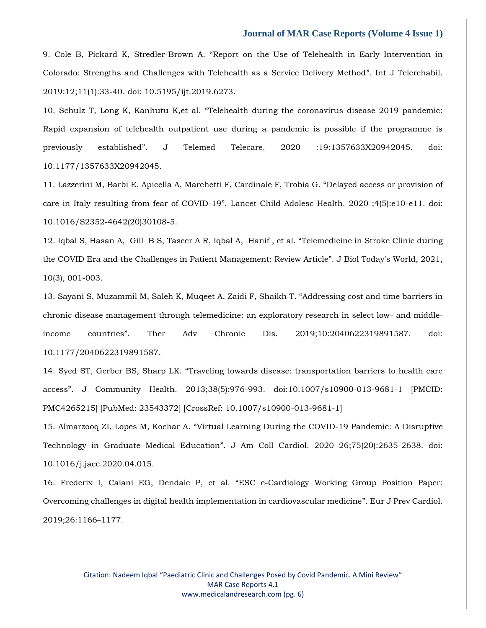9. Cole B, Pickard K, Stredler-Brown A. "[Report on the Use of Telehealth in Early Intervention in](https://www.google.com/search?q=Report+on+the+Use+of+Telehealth+in+Early+Intervention+in+Colorado%3A+Strengths+and+Challenges+with+Telehealth+as+a+Service+Delivery+Method&sxsrf=AOaemvJTTDIHV9uAcrMl_TKFoDANoeOa0A%3A1640163671372&ei=V-nCYb2dFsOF4t4P37muwAo&ved=0ahUKEwj9pIXohff0AhXDgtgFHd-cC6gQ4dUDCA4&uact=5&oq=Report+on+the+Use+of+Telehealth+in+Early+Intervention+in+Colorado%3A+Strengths+and+Challenges+with+Telehealth+as+a+Service+Delivery+Method&gs_lcp=Cgdnd3Mtd2l6EAMyBwgjEOoCECcyBwgjEOoCECcyBwgjEOoCECcyBwgjEOoCECcyBwgjEOoCECcyBwgjEOoCECcyBwgjEOoCECcyBwgjEOoCECcyBwgjEOoCECcyBwgjEOoCECdKBAhBGABKBAhGGABQnwVYnwVg1QdoAXAAeACAAQCIAQCSAQCYAQCgAQGgAQKwAQrAAQE&sclient=gws-wiz)  [Colorado: Strengths and Challenges with Telehealth as a Service Delivery Method](https://www.google.com/search?q=Report+on+the+Use+of+Telehealth+in+Early+Intervention+in+Colorado%3A+Strengths+and+Challenges+with+Telehealth+as+a+Service+Delivery+Method&sxsrf=AOaemvJTTDIHV9uAcrMl_TKFoDANoeOa0A%3A1640163671372&ei=V-nCYb2dFsOF4t4P37muwAo&ved=0ahUKEwj9pIXohff0AhXDgtgFHd-cC6gQ4dUDCA4&uact=5&oq=Report+on+the+Use+of+Telehealth+in+Early+Intervention+in+Colorado%3A+Strengths+and+Challenges+with+Telehealth+as+a+Service+Delivery+Method&gs_lcp=Cgdnd3Mtd2l6EAMyBwgjEOoCECcyBwgjEOoCECcyBwgjEOoCECcyBwgjEOoCECcyBwgjEOoCECcyBwgjEOoCECcyBwgjEOoCECcyBwgjEOoCECcyBwgjEOoCECcyBwgjEOoCECdKBAhBGABKBAhGGABQnwVYnwVg1QdoAXAAeACAAQCIAQCSAQCYAQCgAQGgAQKwAQrAAQE&sclient=gws-wiz)". Int J Telerehabil. [2019:12;11\(1\):33-40. doi: 10.5195/ijt.2019.6273.](https://www.google.com/search?q=Report+on+the+Use+of+Telehealth+in+Early+Intervention+in+Colorado%3A+Strengths+and+Challenges+with+Telehealth+as+a+Service+Delivery+Method&sxsrf=AOaemvJTTDIHV9uAcrMl_TKFoDANoeOa0A%3A1640163671372&ei=V-nCYb2dFsOF4t4P37muwAo&ved=0ahUKEwj9pIXohff0AhXDgtgFHd-cC6gQ4dUDCA4&uact=5&oq=Report+on+the+Use+of+Telehealth+in+Early+Intervention+in+Colorado%3A+Strengths+and+Challenges+with+Telehealth+as+a+Service+Delivery+Method&gs_lcp=Cgdnd3Mtd2l6EAMyBwgjEOoCECcyBwgjEOoCECcyBwgjEOoCECcyBwgjEOoCECcyBwgjEOoCECcyBwgjEOoCECcyBwgjEOoCECcyBwgjEOoCECcyBwgjEOoCECcyBwgjEOoCECdKBAhBGABKBAhGGABQnwVYnwVg1QdoAXAAeACAAQCIAQCSAQCYAQCgAQGgAQKwAQrAAQE&sclient=gws-wiz)

10. Schulz T, Long K, Kanhutu K,et al. "[Telehealth during the coronavirus disease 2019 pandemic:](https://www.google.com/search?q=Telehealth+during+the+coronavirus+disease+2019+pandemic%3A+Rapid+expansion+of+telehealth+outpatient+use+during+a+pandemic+is+possible+if+the+programme+is+previously+established&sxsrf=AOaemvJXc8KD_g0lOBNzZ9pXnmlE-236hw%3A1640163691174&ei=a-nCYeyPCtffz7sP3cCmgAI&ved=0ahUKEwis8b3xhff0AhXX73MBHV2gCSAQ4dUDCA4&uact=5&oq=Telehealth+during+the+coronavirus+disease+2019+pandemic%3A+Rapid+expansion+of+telehealth+outpatient+use+during+a+pandemic+is+possible+if+the+programme+is+previously+established&gs_lcp=Cgdnd3Mtd2l6EAMyBwgjEOoCECcyBwgjEOoCECcyBwgjEOoCECcyBwgjEOoCECcyBwgjEOoCECcyBwgjEOoCECcyBwgjEOoCECcyBwgjEOoCECcyBwgjEOoCECcyBwgjEOoCECdKBAhBGABKBAhGGABQhwZYhwZgyAhoAXAAeACAAQCIAQCSAQCYAQCgAQGgAQKwAQrAAQE&sclient=gws-wiz)  [Rapid expansion of telehealth outpatient use during a pandemic is possible if the programme is](https://www.google.com/search?q=Telehealth+during+the+coronavirus+disease+2019+pandemic%3A+Rapid+expansion+of+telehealth+outpatient+use+during+a+pandemic+is+possible+if+the+programme+is+previously+established&sxsrf=AOaemvJXc8KD_g0lOBNzZ9pXnmlE-236hw%3A1640163691174&ei=a-nCYeyPCtffz7sP3cCmgAI&ved=0ahUKEwis8b3xhff0AhXX73MBHV2gCSAQ4dUDCA4&uact=5&oq=Telehealth+during+the+coronavirus+disease+2019+pandemic%3A+Rapid+expansion+of+telehealth+outpatient+use+during+a+pandemic+is+possible+if+the+programme+is+previously+established&gs_lcp=Cgdnd3Mtd2l6EAMyBwgjEOoCECcyBwgjEOoCECcyBwgjEOoCECcyBwgjEOoCECcyBwgjEOoCECcyBwgjEOoCECcyBwgjEOoCECcyBwgjEOoCECcyBwgjEOoCECcyBwgjEOoCECdKBAhBGABKBAhGGABQhwZYhwZgyAhoAXAAeACAAQCIAQCSAQCYAQCgAQGgAQKwAQrAAQE&sclient=gws-wiz)  previously established"[. J Telemed Telecare. 2020 :19:1357633X20942045. doi:](https://www.google.com/search?q=Telehealth+during+the+coronavirus+disease+2019+pandemic%3A+Rapid+expansion+of+telehealth+outpatient+use+during+a+pandemic+is+possible+if+the+programme+is+previously+established&sxsrf=AOaemvJXc8KD_g0lOBNzZ9pXnmlE-236hw%3A1640163691174&ei=a-nCYeyPCtffz7sP3cCmgAI&ved=0ahUKEwis8b3xhff0AhXX73MBHV2gCSAQ4dUDCA4&uact=5&oq=Telehealth+during+the+coronavirus+disease+2019+pandemic%3A+Rapid+expansion+of+telehealth+outpatient+use+during+a+pandemic+is+possible+if+the+programme+is+previously+established&gs_lcp=Cgdnd3Mtd2l6EAMyBwgjEOoCECcyBwgjEOoCECcyBwgjEOoCECcyBwgjEOoCECcyBwgjEOoCECcyBwgjEOoCECcyBwgjEOoCECcyBwgjEOoCECcyBwgjEOoCECcyBwgjEOoCECdKBAhBGABKBAhGGABQhwZYhwZgyAhoAXAAeACAAQCIAQCSAQCYAQCgAQGgAQKwAQrAAQE&sclient=gws-wiz)  [10.1177/1357633X20942045.](https://www.google.com/search?q=Telehealth+during+the+coronavirus+disease+2019+pandemic%3A+Rapid+expansion+of+telehealth+outpatient+use+during+a+pandemic+is+possible+if+the+programme+is+previously+established&sxsrf=AOaemvJXc8KD_g0lOBNzZ9pXnmlE-236hw%3A1640163691174&ei=a-nCYeyPCtffz7sP3cCmgAI&ved=0ahUKEwis8b3xhff0AhXX73MBHV2gCSAQ4dUDCA4&uact=5&oq=Telehealth+during+the+coronavirus+disease+2019+pandemic%3A+Rapid+expansion+of+telehealth+outpatient+use+during+a+pandemic+is+possible+if+the+programme+is+previously+established&gs_lcp=Cgdnd3Mtd2l6EAMyBwgjEOoCECcyBwgjEOoCECcyBwgjEOoCECcyBwgjEOoCECcyBwgjEOoCECcyBwgjEOoCECcyBwgjEOoCECcyBwgjEOoCECcyBwgjEOoCECcyBwgjEOoCECdKBAhBGABKBAhGGABQhwZYhwZgyAhoAXAAeACAAQCIAQCSAQCYAQCgAQGgAQKwAQrAAQE&sclient=gws-wiz)

11. [Lazzerini M, Barbi E, Apicella A, Marchetti F, Cardinale F, Trobia G.](https://www.google.com/search?q=Delayed+access+or+provision+of+care+in+Italy+resulting+from+fear+of+COVID-19&sxsrf=AOaemvIJSQt07EqmffogJlT3_lp0LBwZpg%3A1640163730200&ei=kunCYbDQC8mp3LUPs_Oz6AQ&ved=0ahUKEwiw4YuEhvf0AhXJFLcAHbP5DE0Q4dUDCA4&uact=5&oq=Delayed+access+or+provision+of+care+in+Italy+resulting+from+fear+of+COVID-19&gs_lcp=Cgdnd3Mtd2l6EAMyBQgAEIAEOgcIIxDqAhAnSgQIQRgASgQIRhgAUM4FWM4FYJYIaAFwAngAgAHhAYgB4QGSAQMyLTGYAQCgAQGgAQKwAQrAAQE&sclient=gws-wiz) "Delayed access or provision of care in Italy resulting from fear of COVID-19"[. Lancet Child Adolesc Health. 2020 ;4\(5\):e10-e11. doi:](https://www.google.com/search?q=Delayed+access+or+provision+of+care+in+Italy+resulting+from+fear+of+COVID-19&sxsrf=AOaemvIJSQt07EqmffogJlT3_lp0LBwZpg%3A1640163730200&ei=kunCYbDQC8mp3LUPs_Oz6AQ&ved=0ahUKEwiw4YuEhvf0AhXJFLcAHbP5DE0Q4dUDCA4&uact=5&oq=Delayed+access+or+provision+of+care+in+Italy+resulting+from+fear+of+COVID-19&gs_lcp=Cgdnd3Mtd2l6EAMyBQgAEIAEOgcIIxDqAhAnSgQIQRgASgQIRhgAUM4FWM4FYJYIaAFwAngAgAHhAYgB4QGSAQMyLTGYAQCgAQGgAQKwAQrAAQE&sclient=gws-wiz)  [10.1016/S2352-4642\(20\)30108-5.](https://www.google.com/search?q=Delayed+access+or+provision+of+care+in+Italy+resulting+from+fear+of+COVID-19&sxsrf=AOaemvIJSQt07EqmffogJlT3_lp0LBwZpg%3A1640163730200&ei=kunCYbDQC8mp3LUPs_Oz6AQ&ved=0ahUKEwiw4YuEhvf0AhXJFLcAHbP5DE0Q4dUDCA4&uact=5&oq=Delayed+access+or+provision+of+care+in+Italy+resulting+from+fear+of+COVID-19&gs_lcp=Cgdnd3Mtd2l6EAMyBQgAEIAEOgcIIxDqAhAnSgQIQRgASgQIRhgAUM4FWM4FYJYIaAFwAngAgAHhAYgB4QGSAQMyLTGYAQCgAQGgAQKwAQrAAQE&sclient=gws-wiz)

12. [Iqbal S, Hasan A, Gill B S, Taseer A R, Iqbal A, Hanif , et al.](https://www.google.com/search?q=Telemedicine+in+Stroke+Clinic+during+the+COVID+Era+and+the+Challenges+in+Patient+Management%3A+Review+Article&sxsrf=AOaemvJjQCo-uH7IrdiOlBHXRLlPN5BalQ%3A1640163757363&ei=renCYcfZFcGYmgfRlLPQCg&ved=0ahUKEwiH5IWRhvf0AhVBjOYKHVHKDKoQ4dUDCA4&uact=5&oq=Telemedicine+in+Stroke+Clinic+during+the+COVID+Era+and+the+Challenges+in+Patient+Management%3A+Review+Article&gs_lcp=Cgdnd3Mtd2l6EAMyBwgjEOoCECcyBwgjEOoCECcyBwgjEOoCECcyBwgjEOoCECcyBwgjEOoCECcyBwgjEOoCECcyBwgjEOoCECcyBwgjEOoCECcyBwgjEOoCECcyBwgjEOoCECdKBAhBGABKBAhGGABQyAVYyAVg1QdoAXAAeACAAQCIAQCSAQCYAQCgAQGgAQKwAQrAAQE&sclient=gws-wiz) "Telemedicine in Stroke Clinic during [the COVID Era and the Challenges in Patient Management: Review Article](https://www.google.com/search?q=Telemedicine+in+Stroke+Clinic+during+the+COVID+Era+and+the+Challenges+in+Patient+Management%3A+Review+Article&sxsrf=AOaemvJjQCo-uH7IrdiOlBHXRLlPN5BalQ%3A1640163757363&ei=renCYcfZFcGYmgfRlLPQCg&ved=0ahUKEwiH5IWRhvf0AhVBjOYKHVHKDKoQ4dUDCA4&uact=5&oq=Telemedicine+in+Stroke+Clinic+during+the+COVID+Era+and+the+Challenges+in+Patient+Management%3A+Review+Article&gs_lcp=Cgdnd3Mtd2l6EAMyBwgjEOoCECcyBwgjEOoCECcyBwgjEOoCECcyBwgjEOoCECcyBwgjEOoCECcyBwgjEOoCECcyBwgjEOoCECcyBwgjEOoCECcyBwgjEOoCECcyBwgjEOoCECdKBAhBGABKBAhGGABQyAVYyAVg1QdoAXAAeACAAQCIAQCSAQCYAQCgAQGgAQKwAQrAAQE&sclient=gws-wiz)". J Biol Today's World, 2021, [10\(3\), 001-003.](https://www.google.com/search?q=Telemedicine+in+Stroke+Clinic+during+the+COVID+Era+and+the+Challenges+in+Patient+Management%3A+Review+Article&sxsrf=AOaemvJjQCo-uH7IrdiOlBHXRLlPN5BalQ%3A1640163757363&ei=renCYcfZFcGYmgfRlLPQCg&ved=0ahUKEwiH5IWRhvf0AhVBjOYKHVHKDKoQ4dUDCA4&uact=5&oq=Telemedicine+in+Stroke+Clinic+during+the+COVID+Era+and+the+Challenges+in+Patient+Management%3A+Review+Article&gs_lcp=Cgdnd3Mtd2l6EAMyBwgjEOoCECcyBwgjEOoCECcyBwgjEOoCECcyBwgjEOoCECcyBwgjEOoCECcyBwgjEOoCECcyBwgjEOoCECcyBwgjEOoCECcyBwgjEOoCECcyBwgjEOoCECdKBAhBGABKBAhGGABQyAVYyAVg1QdoAXAAeACAAQCIAQCSAQCYAQCgAQGgAQKwAQrAAQE&sclient=gws-wiz)

13. [Sayani S, Muzammil M, Saleh K, Muqeet A, Zaidi F, Shaikh T.](https://www.google.com/search?q=Addressing+cost+and+time+barriers+in+chronic+disease+management+through+telemedicine%3A+an+exploratory+research+in+select+low-+and+middle-income+countries&sxsrf=AOaemvLrtfKkBWcRx2rmm8KWUv72G-uYvw%3A1640163774948&ei=vunCYeGwOdnYz7sP07S24As&ved=0ahUKEwjhh7eZhvf0AhVZ7HMBHVOaDbwQ4dUDCA4&uact=5&oq=Addressing+cost+and+time+barriers+in+chronic+disease+management+through+telemedicine%3A+an+exploratory+research+in+select+low-+and+middle-income+countries&gs_lcp=Cgdnd3Mtd2l6EAMyBwgjEOoCECcyBwgjEOoCECcyBwgjEOoCECcyBwgjEOoCECcyBwgjEOoCECcyBwgjEOoCECcyBwgjEOoCECcyBwgjEOoCECcyBwgjEOoCECcyBwgjEOoCECdKBAhBGABKBAhGGABQ8gdY8gdgighoAXACeACAAQCIAQCSAQCYAQCgAQGgAQKwAQrAAQE&sclient=gws-wiz) "Addressing cost and time barriers in [chronic disease management through telemedicine: an exploratory research in select low-](https://www.google.com/search?q=Addressing+cost+and+time+barriers+in+chronic+disease+management+through+telemedicine%3A+an+exploratory+research+in+select+low-+and+middle-income+countries&sxsrf=AOaemvLrtfKkBWcRx2rmm8KWUv72G-uYvw%3A1640163774948&ei=vunCYeGwOdnYz7sP07S24As&ved=0ahUKEwjhh7eZhvf0AhVZ7HMBHVOaDbwQ4dUDCA4&uact=5&oq=Addressing+cost+and+time+barriers+in+chronic+disease+management+through+telemedicine%3A+an+exploratory+research+in+select+low-+and+middle-income+countries&gs_lcp=Cgdnd3Mtd2l6EAMyBwgjEOoCECcyBwgjEOoCECcyBwgjEOoCECcyBwgjEOoCECcyBwgjEOoCECcyBwgjEOoCECcyBwgjEOoCECcyBwgjEOoCECcyBwgjEOoCECcyBwgjEOoCECdKBAhBGABKBAhGGABQ8gdY8gdgighoAXACeACAAQCIAQCSAQCYAQCgAQGgAQKwAQrAAQE&sclient=gws-wiz) and middleincome countries"[. Ther Adv Chronic Dis. 2019;10:2040622319891587. doi:](https://www.google.com/search?q=Addressing+cost+and+time+barriers+in+chronic+disease+management+through+telemedicine%3A+an+exploratory+research+in+select+low-+and+middle-income+countries&sxsrf=AOaemvLrtfKkBWcRx2rmm8KWUv72G-uYvw%3A1640163774948&ei=vunCYeGwOdnYz7sP07S24As&ved=0ahUKEwjhh7eZhvf0AhVZ7HMBHVOaDbwQ4dUDCA4&uact=5&oq=Addressing+cost+and+time+barriers+in+chronic+disease+management+through+telemedicine%3A+an+exploratory+research+in+select+low-+and+middle-income+countries&gs_lcp=Cgdnd3Mtd2l6EAMyBwgjEOoCECcyBwgjEOoCECcyBwgjEOoCECcyBwgjEOoCECcyBwgjEOoCECcyBwgjEOoCECcyBwgjEOoCECcyBwgjEOoCECcyBwgjEOoCECcyBwgjEOoCECdKBAhBGABKBAhGGABQ8gdY8gdgighoAXACeACAAQCIAQCSAQCYAQCgAQGgAQKwAQrAAQE&sclient=gws-wiz)  [10.1177/2040622319891587.](https://www.google.com/search?q=Addressing+cost+and+time+barriers+in+chronic+disease+management+through+telemedicine%3A+an+exploratory+research+in+select+low-+and+middle-income+countries&sxsrf=AOaemvLrtfKkBWcRx2rmm8KWUv72G-uYvw%3A1640163774948&ei=vunCYeGwOdnYz7sP07S24As&ved=0ahUKEwjhh7eZhvf0AhVZ7HMBHVOaDbwQ4dUDCA4&uact=5&oq=Addressing+cost+and+time+barriers+in+chronic+disease+management+through+telemedicine%3A+an+exploratory+research+in+select+low-+and+middle-income+countries&gs_lcp=Cgdnd3Mtd2l6EAMyBwgjEOoCECcyBwgjEOoCECcyBwgjEOoCECcyBwgjEOoCECcyBwgjEOoCECcyBwgjEOoCECcyBwgjEOoCECcyBwgjEOoCECcyBwgjEOoCECcyBwgjEOoCECdKBAhBGABKBAhGGABQ8gdY8gdgighoAXACeACAAQCIAQCSAQCYAQCgAQGgAQKwAQrAAQE&sclient=gws-wiz)

14. Syed ST, Gerber BS, Sharp LK. "[Traveling towards disease: transportation barriers to health care](https://www.google.com/search?q=Traveling+towards+disease%3A+transportation+barriers+to+health+care+access&sxsrf=AOaemvIXGVqCjtUvQtN444ZhndfjrEVo7A%3A1640163791487&ei=z-nCYfmYHdLbz7sPhNmO4A8&ved=0ahUKEwi5vKihhvf0AhXS7XMBHYSsA_wQ4dUDCA4&uact=5&oq=Traveling+towards+disease%3A+transportation+barriers+to+health+care+access&gs_lcp=Cgdnd3Mtd2l6EAMyBwgjEOoCECcyBwgjEOoCECcyBwgjEOoCECcyBwgjEOoCECcyBwgjEOoCECcyBwgjEOoCECcyBwgjEOoCECcyBwgjEOoCECcyBwgjEOoCECcyBwgjEOoCECdKBAhBGABKBAhGGABQwwVYwwVgzAdoAXAAeACAAQCIAQCSAQCYAQCgAQGgAQKwAQrAAQE&sclient=gws-wiz)  access"[. J Community Health. 2013;38\(5\):976-993. doi:10.1007/s10900-013-9681-1 \[PMCID:](https://www.google.com/search?q=Traveling+towards+disease%3A+transportation+barriers+to+health+care+access&sxsrf=AOaemvIXGVqCjtUvQtN444ZhndfjrEVo7A%3A1640163791487&ei=z-nCYfmYHdLbz7sPhNmO4A8&ved=0ahUKEwi5vKihhvf0AhXS7XMBHYSsA_wQ4dUDCA4&uact=5&oq=Traveling+towards+disease%3A+transportation+barriers+to+health+care+access&gs_lcp=Cgdnd3Mtd2l6EAMyBwgjEOoCECcyBwgjEOoCECcyBwgjEOoCECcyBwgjEOoCECcyBwgjEOoCECcyBwgjEOoCECcyBwgjEOoCECcyBwgjEOoCECcyBwgjEOoCECcyBwgjEOoCECdKBAhBGABKBAhGGABQwwVYwwVgzAdoAXAAeACAAQCIAQCSAQCYAQCgAQGgAQKwAQrAAQE&sclient=gws-wiz)  [PMC4265215\] \[PubMed: 23543372\] \[CrossRef: 10.1007/s10900-013-9681-1\]](https://www.google.com/search?q=Traveling+towards+disease%3A+transportation+barriers+to+health+care+access&sxsrf=AOaemvIXGVqCjtUvQtN444ZhndfjrEVo7A%3A1640163791487&ei=z-nCYfmYHdLbz7sPhNmO4A8&ved=0ahUKEwi5vKihhvf0AhXS7XMBHYSsA_wQ4dUDCA4&uact=5&oq=Traveling+towards+disease%3A+transportation+barriers+to+health+care+access&gs_lcp=Cgdnd3Mtd2l6EAMyBwgjEOoCECcyBwgjEOoCECcyBwgjEOoCECcyBwgjEOoCECcyBwgjEOoCECcyBwgjEOoCECcyBwgjEOoCECcyBwgjEOoCECcyBwgjEOoCECcyBwgjEOoCECdKBAhBGABKBAhGGABQwwVYwwVgzAdoAXAAeACAAQCIAQCSAQCYAQCgAQGgAQKwAQrAAQE&sclient=gws-wiz)

15. Almarzooq ZI, Lopes M, Kochar A. "[Virtual Learning During the COVID-19 Pandemic: A Disruptive](https://www.google.com/search?q=Virtual+Learning+During+the+COVID-19+Pandemic%3A+A+Disruptive+Technology+in+Graduate+Medical+Education&sxsrf=AOaemvJpSModj0aPLc6jfnZsm58bccD3mQ%3A1640163808692&ei=4OnCYZTiKbPaz7sP_dCPkA8&ved=0ahUKEwiU0sKphvf0AhUz7XMBHX3oA_IQ4dUDCA4&uact=5&oq=Virtual+Learning+During+the+COVID-19+Pandemic%3A+A+Disruptive+Technology+in+Graduate+Medical+Education&gs_lcp=Cgdnd3Mtd2l6EAMyBQgAEIAEOgcIIxDqAhAnSgQIQRgASgQIRhgAUJgGWJgGYOkIaAFwAngAgAG-AYgBvgGSAQMwLjGYAQCgAQGgAQKwAQrAAQE&sclient=gws-wiz)  Technology in Graduate Medical Education"[. J Am Coll Cardiol. 2020 26;75\(20\):2635-2638. doi:](https://www.google.com/search?q=Virtual+Learning+During+the+COVID-19+Pandemic%3A+A+Disruptive+Technology+in+Graduate+Medical+Education&sxsrf=AOaemvJpSModj0aPLc6jfnZsm58bccD3mQ%3A1640163808692&ei=4OnCYZTiKbPaz7sP_dCPkA8&ved=0ahUKEwiU0sKphvf0AhUz7XMBHX3oA_IQ4dUDCA4&uact=5&oq=Virtual+Learning+During+the+COVID-19+Pandemic%3A+A+Disruptive+Technology+in+Graduate+Medical+Education&gs_lcp=Cgdnd3Mtd2l6EAMyBQgAEIAEOgcIIxDqAhAnSgQIQRgASgQIRhgAUJgGWJgGYOkIaAFwAngAgAG-AYgBvgGSAQMwLjGYAQCgAQGgAQKwAQrAAQE&sclient=gws-wiz)  [10.1016/j.jacc.2020.04.015.](https://www.google.com/search?q=Virtual+Learning+During+the+COVID-19+Pandemic%3A+A+Disruptive+Technology+in+Graduate+Medical+Education&sxsrf=AOaemvJpSModj0aPLc6jfnZsm58bccD3mQ%3A1640163808692&ei=4OnCYZTiKbPaz7sP_dCPkA8&ved=0ahUKEwiU0sKphvf0AhUz7XMBHX3oA_IQ4dUDCA4&uact=5&oq=Virtual+Learning+During+the+COVID-19+Pandemic%3A+A+Disruptive+Technology+in+Graduate+Medical+Education&gs_lcp=Cgdnd3Mtd2l6EAMyBQgAEIAEOgcIIxDqAhAnSgQIQRgASgQIRhgAUJgGWJgGYOkIaAFwAngAgAG-AYgBvgGSAQMwLjGYAQCgAQGgAQKwAQrAAQE&sclient=gws-wiz)

16. Frederix I, Caiani EG, Dendale P, et al. "[ESC e-Cardiology Working Group Position Paper:](https://www.google.com/search?q=ESC+e-Cardiology+Working+Group+Position+Paper%3A+Overcoming+challenges+in+digital+health+implementation+in+cardiovascular+medicine&sxsrf=AOaemvLdKYTPMSObFBmoT-mQDkEXb_-hVg%3A1640163826409&ei=8unCYcm2GPvWz7sP-ui-0Ag&ved=0ahUKEwjJ9_uxhvf0AhV763MBHXq0D4oQ4dUDCA4&uact=5&oq=ESC+e-Cardiology+Working+Group+Position+Paper%3A+Overcoming+challenges+in+digital+health+implementation+in+cardiovascular+medicine&gs_lcp=Cgdnd3Mtd2l6EAMyBwgjEOoCECcyBwgjEOoCECcyBwgjEOoCECcyBwgjEOoCECcyBwgjEOoCECcyBwgjEOoCECcyBwgjEOoCECcyBwgjEOoCECcyBwgjEOoCECcyBwgjEOoCECdKBAhBGABKBAhGGABQrwVYrwVg5AdoAXACeACAAQCIAQCSAQCYAQCgAQGgAQKwAQrAAQE&sclient=gws-wiz)  [Overcoming challenges in digital health implementation in cardiovascular medicine](https://www.google.com/search?q=ESC+e-Cardiology+Working+Group+Position+Paper%3A+Overcoming+challenges+in+digital+health+implementation+in+cardiovascular+medicine&sxsrf=AOaemvLdKYTPMSObFBmoT-mQDkEXb_-hVg%3A1640163826409&ei=8unCYcm2GPvWz7sP-ui-0Ag&ved=0ahUKEwjJ9_uxhvf0AhV763MBHXq0D4oQ4dUDCA4&uact=5&oq=ESC+e-Cardiology+Working+Group+Position+Paper%3A+Overcoming+challenges+in+digital+health+implementation+in+cardiovascular+medicine&gs_lcp=Cgdnd3Mtd2l6EAMyBwgjEOoCECcyBwgjEOoCECcyBwgjEOoCECcyBwgjEOoCECcyBwgjEOoCECcyBwgjEOoCECcyBwgjEOoCECcyBwgjEOoCECcyBwgjEOoCECcyBwgjEOoCECdKBAhBGABKBAhGGABQrwVYrwVg5AdoAXACeACAAQCIAQCSAQCYAQCgAQGgAQKwAQrAAQE&sclient=gws-wiz)". Eur J Prev Cardiol. [2019;26:1166](https://www.google.com/search?q=ESC+e-Cardiology+Working+Group+Position+Paper%3A+Overcoming+challenges+in+digital+health+implementation+in+cardiovascular+medicine&sxsrf=AOaemvLdKYTPMSObFBmoT-mQDkEXb_-hVg%3A1640163826409&ei=8unCYcm2GPvWz7sP-ui-0Ag&ved=0ahUKEwjJ9_uxhvf0AhV763MBHXq0D4oQ4dUDCA4&uact=5&oq=ESC+e-Cardiology+Working+Group+Position+Paper%3A+Overcoming+challenges+in+digital+health+implementation+in+cardiovascular+medicine&gs_lcp=Cgdnd3Mtd2l6EAMyBwgjEOoCECcyBwgjEOoCECcyBwgjEOoCECcyBwgjEOoCECcyBwgjEOoCECcyBwgjEOoCECcyBwgjEOoCECcyBwgjEOoCECcyBwgjEOoCECcyBwgjEOoCECdKBAhBGABKBAhGGABQrwVYrwVg5AdoAXACeACAAQCIAQCSAQCYAQCgAQGgAQKwAQrAAQE&sclient=gws-wiz)–1177.

> Citation: Nadeem Iqbal "Paediatric Clinic and Challenges Posed by Covid Pandemic. A Mini Review" MAR Case Reports 4.1 [www.medicalandresearch.com](http://www.medicalandresearch.com/) (pg. 6)